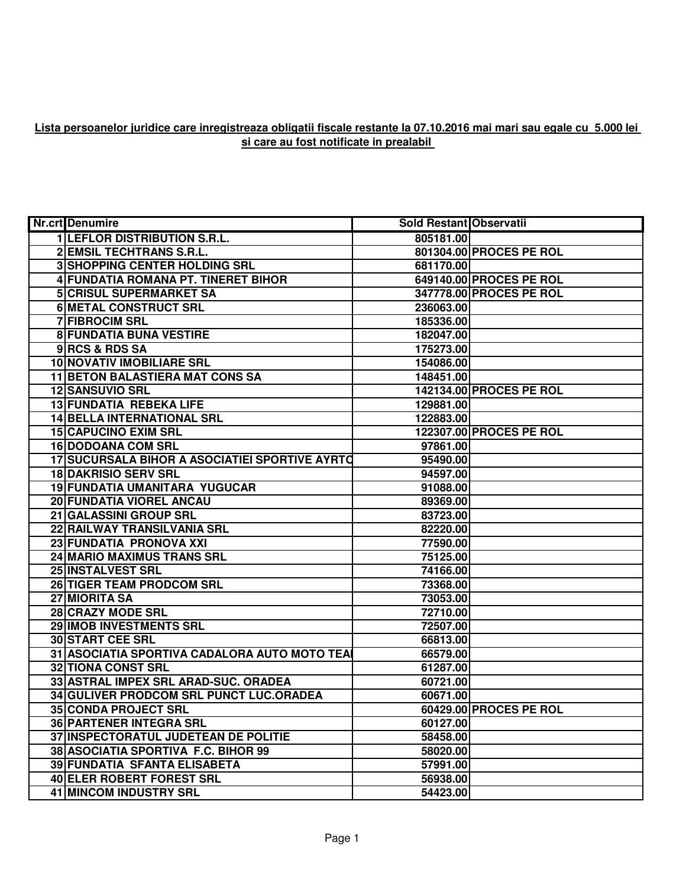## **Lista persoanelor juridice care inregistreaza obligatii fiscale restante la 07.10.2016 mai mari sau egale cu 5.000 lei si care au fost notificate in prealabil**

| <b>Nr.crt</b> Denumire                         | <b>Sold Restant Observatii</b> |                                |
|------------------------------------------------|--------------------------------|--------------------------------|
| <b>1 LEFLOR DISTRIBUTION S.R.L.</b>            | 805181.00                      |                                |
| 2 EMSIL TECHTRANS S.R.L.                       |                                | 801304.00 PROCES PE ROL        |
| <b>3 SHOPPING CENTER HOLDING SRL</b>           | 681170.00                      |                                |
| 4 FUNDATIA ROMANA PT. TINERET BIHOR            |                                | 649140.00 PROCES PE ROL        |
| <b>5 CRISUL SUPERMARKET SA</b>                 |                                | 347778.00 PROCES PE ROL        |
| <b>6 METAL CONSTRUCT SRL</b>                   | 236063.00                      |                                |
| 7 FIBROCIM SRL                                 | 185336.00                      |                                |
| <b>8 FUNDATIA BUNA VESTIRE</b>                 | 182047.00                      |                                |
| 9RCS & RDS SA                                  | 175273.00                      |                                |
| 10 NOVATIV IMOBILIARE SRL                      | 154086.00                      |                                |
| <b>11 BETON BALASTIERA MAT CONS SA</b>         | 148451.00                      |                                |
| 12 SANSUVIO SRL                                |                                | 142134.00 PROCES PE ROL        |
| 13 FUNDATIA REBEKA LIFE                        | 129881.00                      |                                |
| <b>14 BELLA INTERNATIONAL SRL</b>              | 122883.00                      |                                |
| <b>15 CAPUCINO EXIM SRL</b>                    |                                | <b>122307.00 PROCES PE ROL</b> |
| <b>16 DODOANA COM SRL</b>                      | 97861.00                       |                                |
| 17 SUCURSALA BIHOR A ASOCIATIEI SPORTIVE AYRTO | 95490.00                       |                                |
| <b>18 DAKRISIO SERV SRL</b>                    | 94597.00                       |                                |
| <b>19 FUNDATIA UMANITARA YUGUCAR</b>           | 91088.00                       |                                |
| 20 FUNDATIA VIOREL ANCAU                       | 89369.00                       |                                |
| 21 GALASSINI GROUP SRL                         | 83723.00                       |                                |
| 22 RAILWAY TRANSILVANIA SRL                    | 82220.00                       |                                |
| 23 FUNDATIA PRONOVA XXI                        | 77590.00                       |                                |
| 24 MARIO MAXIMUS TRANS SRL                     | 75125.00                       |                                |
| 25 INSTALVEST SRL                              | 74166.00                       |                                |
| 26 TIGER TEAM PRODCOM SRL                      | 73368.00                       |                                |
| 27 MIORITA SA                                  | 73053.00                       |                                |
| 28 CRAZY MODE SRL                              | 72710.00                       |                                |
| 29 IMOB INVESTMENTS SRL                        | 72507.00                       |                                |
| <b>30 START CEE SRL</b>                        | 66813.00                       |                                |
| 31 ASOCIATIA SPORTIVA CADALORA AUTO MOTO TEA   | 66579.00                       |                                |
| <b>32 TIONA CONST SRL</b>                      | 61287.00                       |                                |
| 33 ASTRAL IMPEX SRL ARAD-SUC. ORADEA           | 60721.00                       |                                |
| 34 GULIVER PRODCOM SRL PUNCT LUC.ORADEA        | 60671.00                       |                                |
| <b>35 CONDA PROJECT SRL</b>                    |                                | 60429.00 PROCES PE ROL         |
| <b>36 PARTENER INTEGRA SRL</b>                 | 60127.00                       |                                |
| 37 INSPECTORATUL JUDETEAN DE POLITIE           | 58458.00                       |                                |
| 38 ASOCIATIA SPORTIVA F.C. BIHOR 99            | 58020.00                       |                                |
| <b>39 FUNDATIA SFANTA ELISABETA</b>            | 57991.00                       |                                |
| <b>40 ELER ROBERT FOREST SRL</b>               | 56938.00                       |                                |
| <b>41 MINCOM INDUSTRY SRL</b>                  | 54423.00                       |                                |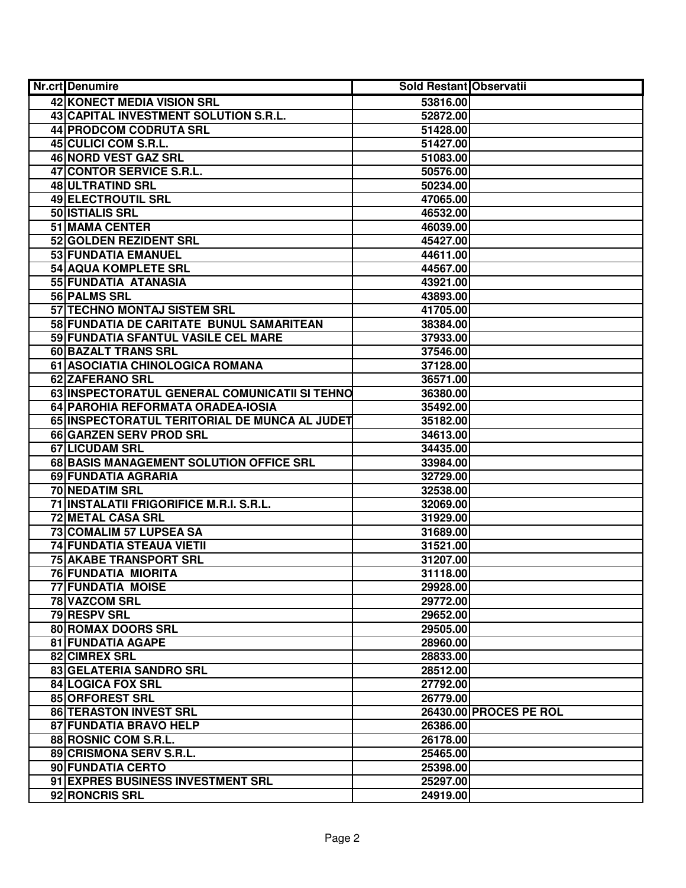| Nr.crt Denumire                               | <b>Sold Restant Observatii</b> |                        |
|-----------------------------------------------|--------------------------------|------------------------|
| 42 KONECT MEDIA VISION SRL                    | 53816.00                       |                        |
| 43 CAPITAL INVESTMENT SOLUTION S.R.L.         | 52872.00                       |                        |
| 44 PRODCOM CODRUTA SRL                        | 51428.00                       |                        |
| 45 CULICI COM S.R.L.                          | 51427.00                       |                        |
| 46 NORD VEST GAZ SRL                          | 51083.00                       |                        |
| 47 CONTOR SERVICE S.R.L.                      | 50576.00                       |                        |
| 48 ULTRATIND SRL                              | 50234.00                       |                        |
| 49 ELECTROUTIL SRL                            | 47065.00                       |                        |
| 50 <b>ISTIALIS SRL</b>                        | 46532.00                       |                        |
| 51 MAMA CENTER                                | 46039.00                       |                        |
| 52 GOLDEN REZIDENT SRL                        | 45427.00                       |                        |
| 53 FUNDATIA EMANUEL                           | 44611.00                       |                        |
| 54 AQUA KOMPLETE SRL                          | 44567.00                       |                        |
| 55 FUNDATIA ATANASIA                          | 43921.00                       |                        |
| 56 PALMS SRL                                  | 43893.00                       |                        |
| 57 TECHNO MONTAJ SISTEM SRL                   | 41705.00                       |                        |
| 58 FUNDATIA DE CARITATE BUNUL SAMARITEAN      | 38384.00                       |                        |
| 59 FUNDATIA SFANTUL VASILE CEL MARE           | 37933.00                       |                        |
| 60 BAZALT TRANS SRL                           | 37546.00                       |                        |
| 61 ASOCIATIA CHINOLOGICA ROMANA               | 37128.00                       |                        |
| 62 ZAFERANO SRL                               | 36571.00                       |                        |
| 63 INSPECTORATUL GENERAL COMUNICATII SI TEHNO | 36380.00                       |                        |
| 64 PAROHIA REFORMATA ORADEA-IOSIA             | 35492.00                       |                        |
| 65 INSPECTORATUL TERITORIAL DE MUNCA AL JUDET | 35182.00                       |                        |
| <b>66 GARZEN SERV PROD SRL</b>                | 34613.00                       |                        |
| 67 LICUDAM SRL                                | 34435.00                       |                        |
| 68 BASIS MANAGEMENT SOLUTION OFFICE SRL       | 33984.00                       |                        |
| 69 FUNDATIA AGRARIA                           | 32729.00                       |                        |
| 70 NEDATIM SRL                                | 32538.00                       |                        |
| 71 INSTALATII FRIGORIFICE M.R.I. S.R.L.       | 32069.00                       |                        |
| <b>72 METAL CASA SRL</b>                      | 31929.00                       |                        |
| 73 COMALIM 57 LUPSEA SA                       | 31689.00                       |                        |
| <b>74 FUNDATIA STEAUA VIETII</b>              | 31521.00                       |                        |
| <b>75 AKABE TRANSPORT SRL</b>                 | 31207.00                       |                        |
| 76 FUNDATIA MIORITA                           | 31118.00                       |                        |
| <b>77 FUNDATIA MOISE</b>                      | 29928.00                       |                        |
| <b>78 VAZCOM SRL</b>                          | 29772.00                       |                        |
| 79 RESPV SRL                                  | 29652.00                       |                        |
| <b>80 ROMAX DOORS SRL</b>                     | 29505.00                       |                        |
| <b>81 FUNDATIA AGAPE</b>                      | 28960.00                       |                        |
| 82 CIMREX SRL                                 | 28833.00                       |                        |
| 83 GELATERIA SANDRO SRL                       | 28512.00                       |                        |
| 84 LOGICA FOX SRL                             | 27792.00                       |                        |
| 85 ORFOREST SRL                               | 26779.00                       |                        |
| 86 TERASTON INVEST SRL                        |                                | 26430.00 PROCES PE ROL |
| 87 FUNDATIA BRAVO HELP                        | 26386.00                       |                        |
| 88 ROSNIC COM S.R.L.                          | 26178.00                       |                        |
| 89 CRISMONA SERV S.R.L.                       | 25465.00                       |                        |
| 90 FUNDATIA CERTO                             | 25398.00                       |                        |
| 91 EXPRES BUSINESS INVESTMENT SRL             | 25297.00                       |                        |
| 92 RONCRIS SRL                                | 24919.00                       |                        |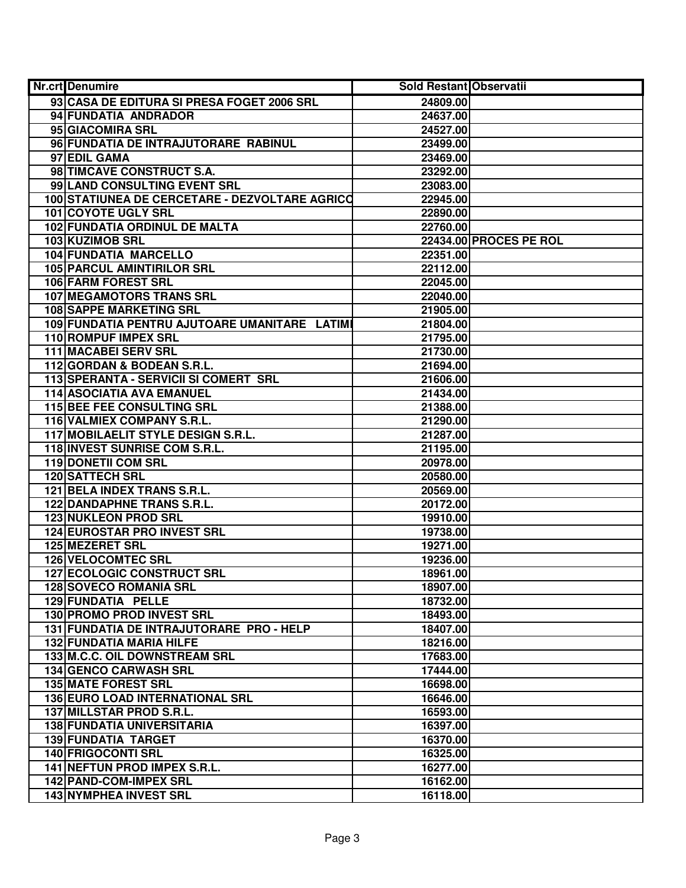| Nr.crt Denumire                                | <b>Sold Restant Observatii</b> |                               |
|------------------------------------------------|--------------------------------|-------------------------------|
| 93 CASA DE EDITURA SI PRESA FOGET 2006 SRL     | 24809.00                       |                               |
| 94 FUNDATIA ANDRADOR                           | 24637.00                       |                               |
| 95 GIACOMIRA SRL                               | 24527.00                       |                               |
| 96 FUNDATIA DE INTRAJUTORARE RABINUL           | 23499.00                       |                               |
| 97 EDIL GAMA                                   | 23469.00                       |                               |
| 98 TIMCAVE CONSTRUCT S.A.                      | 23292.00                       |                               |
| 99 LAND CONSULTING EVENT SRL                   | 23083.00                       |                               |
| 100 STATIUNEA DE CERCETARE - DEZVOLTARE AGRICO | 22945.00                       |                               |
| 101 COYOTE UGLY SRL                            | 22890.00                       |                               |
| <b>102 FUNDATIA ORDINUL DE MALTA</b>           | 22760.00                       |                               |
| 103 KUZIMOB SRL                                |                                | <b>22434.00 PROCES PE ROL</b> |
| <b>104 FUNDATIA MARCELLO</b>                   | 22351.00                       |                               |
| <b>105 PARCUL AMINTIRILOR SRL</b>              | 22112.00                       |                               |
| <b>106 FARM FOREST SRL</b>                     | 22045.00                       |                               |
| <b>107 MEGAMOTORS TRANS SRL</b>                | 22040.00                       |                               |
| <b>108 SAPPE MARKETING SRL</b>                 | 21905.00                       |                               |
| 109 FUNDATIA PENTRU AJUTOARE UMANITARE LATIMI  | 21804.00                       |                               |
| 110 ROMPUF IMPEX SRL                           | 21795.00                       |                               |
| <b>111 MACABEI SERV SRL</b>                    | 21730.00                       |                               |
| 112 GORDAN & BODEAN S.R.L.                     | 21694.00                       |                               |
| 113 SPERANTA - SERVICII SI COMERT SRL          | 21606.00                       |                               |
| 114 ASOCIATIA AVA EMANUEL                      | 21434.00                       |                               |
| <b>115 BEE FEE CONSULTING SRL</b>              | 21388.00                       |                               |
| 116 VALMIEX COMPANY S.R.L.                     | 21290.00                       |                               |
| 117 MOBILAELIT STYLE DESIGN S.R.L.             | 21287.00                       |                               |
| 118 INVEST SUNRISE COM S.R.L.                  | 21195.00                       |                               |
| <b>119 DONETII COM SRL</b>                     | 20978.00                       |                               |
| <b>120 SATTECH SRL</b>                         | 20580.00                       |                               |
| 121 BELA INDEX TRANS S.R.L.                    | 20569.00                       |                               |
| 122 DANDAPHNE TRANS S.R.L.                     | 20172.00                       |                               |
| 123 NUKLEON PROD SRL                           | 19910.00                       |                               |
| <b>124 EUROSTAR PRO INVEST SRL</b>             | 19738.00                       |                               |
| 125 MEZERET SRL                                | 19271.00                       |                               |
| <b>126 VELOCOMTEC SRL</b>                      | 19236.00                       |                               |
| <b>127 ECOLOGIC CONSTRUCT SRL</b>              | 18961.00                       |                               |
| <b>128 SOVECO ROMANIA SRL</b>                  | 18907.00                       |                               |
| 129 FUNDATIA PELLE                             | 18732.00                       |                               |
| <b>130 PROMO PROD INVEST SRL</b>               | 18493.00                       |                               |
| 131 FUNDATIA DE INTRAJUTORARE PRO - HELP       | 18407.00                       |                               |
| <b>132 FUNDATIA MARIA HILFE</b>                | 18216.00                       |                               |
| 133 M.C.C. OIL DOWNSTREAM SRL                  | 17683.00                       |                               |
| 134 GENCO CARWASH SRL                          | 17444.00                       |                               |
| <b>135 MATE FOREST SRL</b>                     | 16698.00                       |                               |
| <b>136 EURO LOAD INTERNATIONAL SRL</b>         | 16646.00                       |                               |
| 137 MILLSTAR PROD S.R.L.                       | 16593.00                       |                               |
| <b>138 FUNDATIA UNIVERSITARIA</b>              | 16397.00                       |                               |
| <b>139 FUNDATIA TARGET</b>                     | 16370.00                       |                               |
| 140 FRIGOCONTI SRL                             | 16325.00                       |                               |
| 141 NEFTUN PROD IMPEX S.R.L.                   | 16277.00                       |                               |
| 142 PAND-COM-IMPEX SRL                         | 16162.00                       |                               |
| 143 NYMPHEA INVEST SRL                         | 16118.00                       |                               |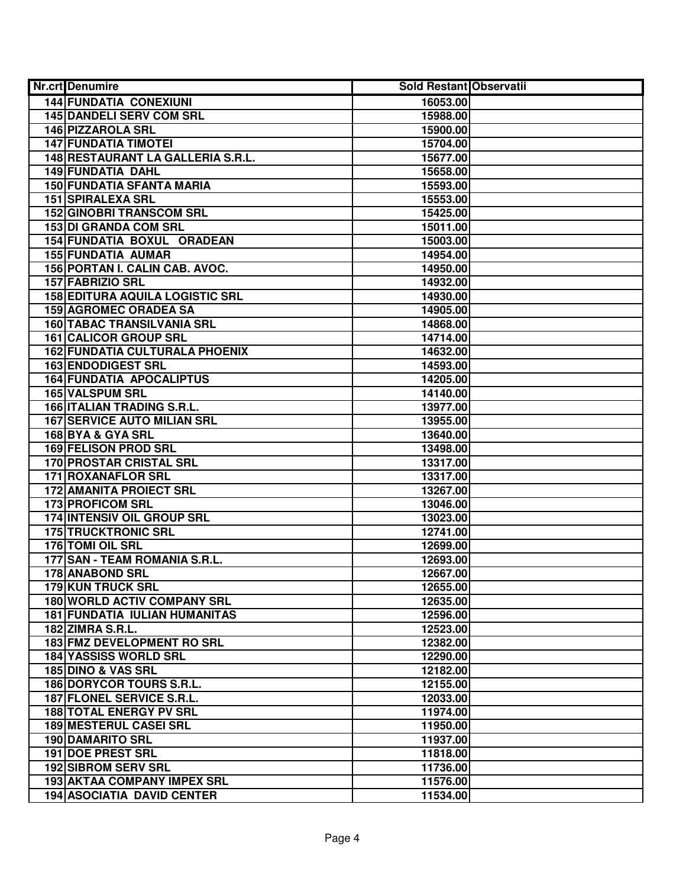| <b>Nr.crt</b> Denumire                 | Sold Restant Observatii |  |
|----------------------------------------|-------------------------|--|
| <b>144 FUNDATIA CONEXIUNI</b>          | 16053.00                |  |
| <b>145 DANDELI SERV COM SRL</b>        | 15988.00                |  |
| <b>146 PIZZAROLA SRL</b>               | 15900.00                |  |
| <b>147 FUNDATIA TIMOTEI</b>            | 15704.00                |  |
| 148 RESTAURANT LA GALLERIA S.R.L.      | 15677.00                |  |
| 149 FUNDATIA DAHL                      | 15658.00                |  |
| <b>150 FUNDATIA SFANTA MARIA</b>       | 15593.00                |  |
| <b>151 SPIRALEXA SRL</b>               | 15553.00                |  |
| <b>152 GINOBRI TRANSCOM SRL</b>        | 15425.00                |  |
| <b>153 DI GRANDA COM SRL</b>           | 15011.00                |  |
| <b>154 FUNDATIA BOXUL ORADEAN</b>      | 15003.00                |  |
| <b>155 FUNDATIA AUMAR</b>              | 14954.00                |  |
| 156 PORTAN I. CALIN CAB. AVOC.         | 14950.00                |  |
| 157 FABRIZIO SRL                       | 14932.00                |  |
| <b>158 EDITURA AQUILA LOGISTIC SRL</b> | 14930.00                |  |
| <b>159 AGROMEC ORADEA SA</b>           | 14905.00                |  |
| <b>160 TABAC TRANSILVANIA SRL</b>      | 14868.00                |  |
| 161 CALICOR GROUP SRL                  | 14714.00                |  |
| <b>162 FUNDATIA CULTURALA PHOENIX</b>  | 14632.00                |  |
| <b>163 ENDODIGEST SRL</b>              | 14593.00                |  |
| <b>164 FUNDATIA APOCALIPTUS</b>        | 14205.00                |  |
| 165 VALSPUM SRL                        | 14140.00                |  |
| 166 ITALIAN TRADING S.R.L.             | 13977.00                |  |
| <b>167 SERVICE AUTO MILIAN SRL</b>     | 13955.00                |  |
| 168 BYA & GYA SRL                      | 13640.00                |  |
| 169 FELISON PROD SRL                   | 13498.00                |  |
| 170 PROSTAR CRISTAL SRL                | 13317.00                |  |
| 171 ROXANAFLOR SRL                     | 13317.00                |  |
| <b>172 AMANITA PROIECT SRL</b>         | 13267.00                |  |
| 173 PROFICOM SRL                       | 13046.00                |  |
| 174 INTENSIV OIL GROUP SRL             | 13023.00                |  |
| <b>175 TRUCKTRONIC SRL</b>             | 12741.00                |  |
| 176 TOMI OIL SRL                       | 12699.00                |  |
| 177 SAN - TEAM ROMANIA S.R.L.          | 12693.00                |  |
| 178 ANABOND SRL                        | 12667.00                |  |
| <b>179 KUN TRUCK SRL</b>               | 12655.00                |  |
| <b>180 WORLD ACTIV COMPANY SRL</b>     | 12635.00                |  |
| <b>181 FUNDATIA IULIAN HUMANITAS</b>   | 12596.00                |  |
| <b>182 ZIMRA S.R.L.</b>                | 12523.00                |  |
| 183 FMZ DEVELOPMENT RO SRL             | 12382.00                |  |
| <b>184 YASSISS WORLD SRL</b>           | 12290.00                |  |
| 185 DINO & VAS SRL                     | 12182.00                |  |
| 186 DORYCOR TOURS S.R.L.               | 12155.00                |  |
| 187 FLONEL SERVICE S.R.L.              | 12033.00                |  |
| <b>188 TOTAL ENERGY PV SRL</b>         | 11974.00                |  |
| <b>189 MESTERUL CASEI SRL</b>          | 11950.00                |  |
| <b>190 DAMARITO SRL</b>                | 11937.00                |  |
| <b>191 DOE PREST SRL</b>               | 11818.00                |  |
| <b>192 SIBROM SERV SRL</b>             | 11736.00                |  |
| 193 AKTAA COMPANY IMPEX SRL            | 11576.00                |  |
| <b>194 ASOCIATIA DAVID CENTER</b>      | 11534.00                |  |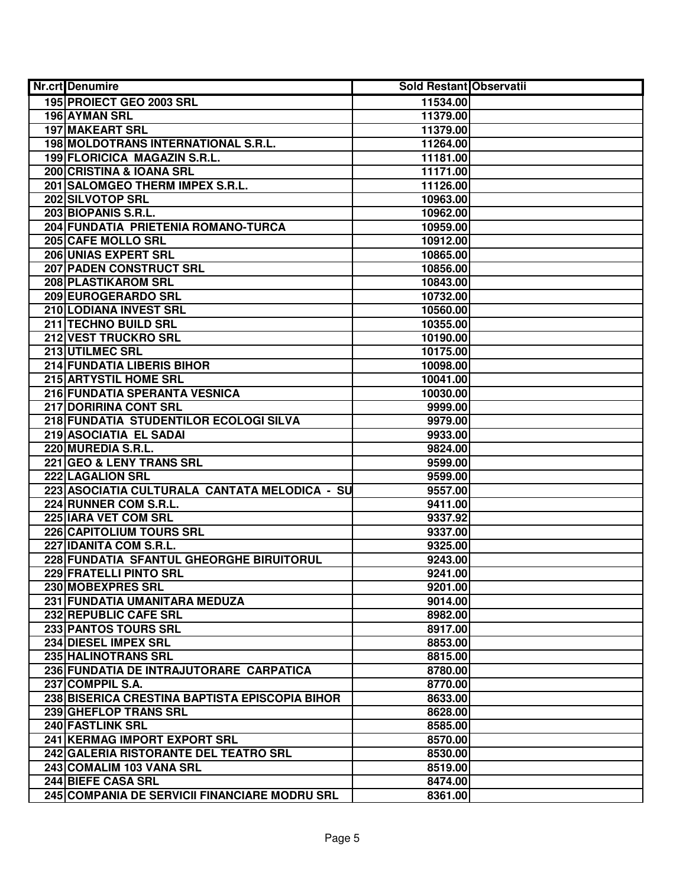| Nr.crt Denumire                                | <b>Sold Restant Observatii</b> |  |
|------------------------------------------------|--------------------------------|--|
| 195 PROIECT GEO 2003 SRL                       | 11534.00                       |  |
| 196 AYMAN SRL                                  | 11379.00                       |  |
| <b>197 MAKEART SRL</b>                         | 11379.00                       |  |
| 198 MOLDOTRANS INTERNATIONAL S.R.L.            | 11264.00                       |  |
| 199 FLORICICA MAGAZIN S.R.L.                   | 11181.00                       |  |
| 200 CRISTINA & IOANA SRL                       | 11171.00                       |  |
| 201 SALOMGEO THERM IMPEX S.R.L.                | 11126.00                       |  |
| 202 SILVOTOP SRL                               | 10963.00                       |  |
| 203 BIOPANIS S.R.L.                            | 10962.00                       |  |
| 204 FUNDATIA PRIETENIA ROMANO-TURCA            | 10959.00                       |  |
| 205 CAFE MOLLO SRL                             | 10912.00                       |  |
| 206 UNIAS EXPERT SRL                           | 10865.00                       |  |
| 207 PADEN CONSTRUCT SRL                        | 10856.00                       |  |
| <b>208 PLASTIKAROM SRL</b>                     | 10843.00                       |  |
| 209 EUROGERARDO SRL                            | 10732.00                       |  |
| 210 LODIANA INVEST SRL                         | 10560.00                       |  |
| 211 TECHNO BUILD SRL                           | 10355.00                       |  |
| 212 VEST TRUCKRO SRL                           | 10190.00                       |  |
| 213 UTILMEC SRL                                | 10175.00                       |  |
| 214 FUNDATIA LIBERIS BIHOR                     | 10098.00                       |  |
| 215 ARTYSTIL HOME SRL                          | 10041.00                       |  |
| 216 FUNDATIA SPERANTA VESNICA                  | 10030.00                       |  |
| 217 DORIRINA CONT SRL                          | 9999.00                        |  |
| 218 FUNDATIA STUDENTILOR ECOLOGI SILVA         | 9979.00                        |  |
| 219 ASOCIATIA EL SADAI                         | 9933.00                        |  |
| 220 MUREDIA S.R.L.                             | 9824.00                        |  |
| 221 GEO & LENY TRANS SRL                       | 9599.00                        |  |
| 222 LAGALION SRL                               | 9599.00                        |  |
| 223 ASOCIATIA CULTURALA CANTATA MELODICA - SU  | 9557.00                        |  |
| 224 RUNNER COM S.R.L.                          | 9411.00                        |  |
| 225 IARA VET COM SRL                           | 9337.92                        |  |
| 226 CAPITOLIUM TOURS SRL                       | 9337.00                        |  |
| 227 IDANITA COM S.R.L.                         | 9325.00                        |  |
| 228 FUNDATIA SFANTUL GHEORGHE BIRUITORUL       | 9243.00                        |  |
| <b>229 FRATELLI PINTO SRL</b>                  | 9241.00                        |  |
| 230 MOBEXPRES SRL                              | 9201.00                        |  |
| 231 FUNDATIA UMANITARA MEDUZA                  | 9014.00                        |  |
| <b>232 REPUBLIC CAFE SRL</b>                   | 8982.00                        |  |
| <b>233 PANTOS TOURS SRL</b>                    | 8917.00                        |  |
| 234 DIESEL IMPEX SRL                           | 8853.00                        |  |
| 235 HALINOTRANS SRL                            | 8815.00                        |  |
| 236 FUNDATIA DE INTRAJUTORARE CARPATICA        | 8780.00                        |  |
| 237 COMPPIL S.A.                               | 8770.00                        |  |
| 238 BISERICA CRESTINA BAPTISTA EPISCOPIA BIHOR | 8633.00                        |  |
| 239 GHEFLOP TRANS SRL                          | 8628.00                        |  |
| 240 FASTLINK SRL                               | 8585.00                        |  |
| 241 KERMAG IMPORT EXPORT SRL                   | 8570.00                        |  |
| 242 GALERIA RISTORANTE DEL TEATRO SRL          | 8530.00                        |  |
| 243 COMALIM 103 VANA SRL                       | 8519.00                        |  |
| 244 BIEFE CASA SRL                             | 8474.00                        |  |
| 245 COMPANIA DE SERVICII FINANCIARE MODRU SRL  | 8361.00                        |  |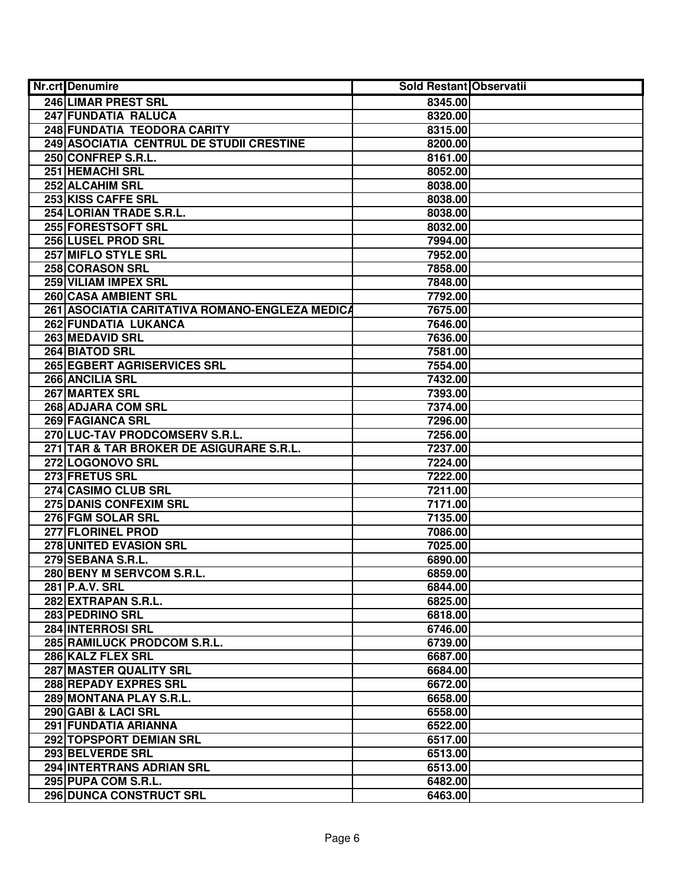| Nr.crt Denumire                                | <b>Sold Restant Observatii</b> |  |
|------------------------------------------------|--------------------------------|--|
| <b>246 LIMAR PREST SRL</b>                     | 8345.00                        |  |
| 247 FUNDATIA RALUCA                            | 8320.00                        |  |
| 248 FUNDATIA TEODORA CARITY                    | 8315.00                        |  |
| 249 ASOCIATIA CENTRUL DE STUDII CRESTINE       | 8200.00                        |  |
| 250 CONFREP S.R.L.                             | 8161.00                        |  |
| 251 HEMACHI SRL                                | 8052.00                        |  |
| 252 ALCAHIM SRL                                | 8038.00                        |  |
| 253 KISS CAFFE SRL                             | 8038.00                        |  |
| 254 LORIAN TRADE S.R.L.                        | 8038.00                        |  |
| 255 FORESTSOFT SRL                             | 8032.00                        |  |
| 256 LUSEL PROD SRL                             | 7994.00                        |  |
| 257 MIFLO STYLE SRL                            | 7952.00                        |  |
| 258 CORASON SRL                                | 7858.00                        |  |
| 259 VILIAM IMPEX SRL                           | 7848.00                        |  |
| 260 CASA AMBIENT SRL                           | 7792.00                        |  |
| 261 ASOCIATIA CARITATIVA ROMANO-ENGLEZA MEDICA | 7675.00                        |  |
| 262 FUNDATIA LUKANCA                           | 7646.00                        |  |
| 263 MEDAVID SRL                                | 7636.00                        |  |
| 264 BIATOD SRL                                 | 7581.00                        |  |
| 265 EGBERT AGRISERVICES SRL                    | 7554.00                        |  |
| 266 ANCILIA SRL                                | 7432.00                        |  |
| 267 MARTEX SRL                                 | 7393.00                        |  |
| 268 ADJARA COM SRL                             | 7374.00                        |  |
| 269 FAGIANCA SRL                               | 7296.00                        |  |
| 270 LUC-TAV PRODCOMSERV S.R.L.                 | 7256.00                        |  |
| 271 TAR & TAR BROKER DE ASIGURARE S.R.L.       | 7237.00                        |  |
| 272 LOGONOVO SRL                               | 7224.00                        |  |
| 273 FRETUS SRL                                 | 7222.00                        |  |
| 274 CASIMO CLUB SRL                            | 7211.00                        |  |
| 275 DANIS CONFEXIM SRL                         | 7171.00                        |  |
| 276 FGM SOLAR SRL                              | 7135.00                        |  |
| 277 FLORINEL PROD                              | 7086.00                        |  |
| 278 UNITED EVASION SRL                         | 7025.00                        |  |
| 279 SEBANA S.R.L.                              | 6890.00                        |  |
| 280 BENY M SERVCOM S.R.L.                      | 6859.00                        |  |
| 281 P.A.V. SRL                                 | 6844.00                        |  |
| 282 EXTRAPAN S.R.L.                            | 6825.00                        |  |
| 283 PEDRINO SRL                                | 6818.00                        |  |
| <b>284 INTERROSI SRL</b>                       | 6746.00                        |  |
| 285 RAMILUCK PRODCOM S.R.L.                    | 6739.00                        |  |
| 286 KALZ FLEX SRL                              | 6687.00                        |  |
| 287 MASTER QUALITY SRL                         | 6684.00                        |  |
| 288 REPADY EXPRES SRL                          | 6672.00                        |  |
| 289 MONTANA PLAY S.R.L.                        | 6658.00                        |  |
| 290 GABI & LACI SRL                            | 6558.00                        |  |
| 291 FUNDATIA ARIANNA                           | 6522.00                        |  |
| 292 TOPSPORT DEMIAN SRL                        | 6517.00                        |  |
| 293 BELVERDE SRL                               | 6513.00                        |  |
| 294 INTERTRANS ADRIAN SRL                      | 6513.00                        |  |
| 295 PUPA COM S.R.L.                            | 6482.00                        |  |
| 296 DUNCA CONSTRUCT SRL                        | 6463.00                        |  |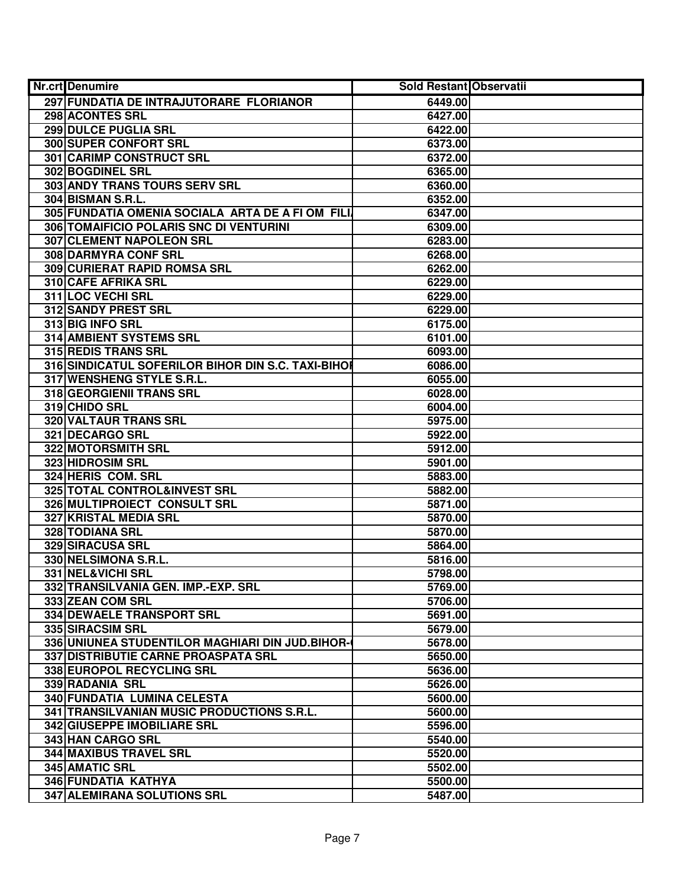| <b>Nr.crt</b> Denumire                             | <b>Sold Restant Observatii</b> |  |
|----------------------------------------------------|--------------------------------|--|
| 297 FUNDATIA DE INTRAJUTORARE FLORIANOR            | 6449.00                        |  |
| 298 ACONTES SRL                                    | 6427.00                        |  |
| 299 DULCE PUGLIA SRL                               | 6422.00                        |  |
| 300 SUPER CONFORT SRL                              | 6373.00                        |  |
| 301 CARIMP CONSTRUCT SRL                           | 6372.00                        |  |
| 302 BOGDINEL SRL                                   | 6365.00                        |  |
| 303 ANDY TRANS TOURS SERV SRL                      | 6360.00                        |  |
| <b>304 BISMAN S.R.L.</b>                           | 6352.00                        |  |
| 305 FUNDATIA OMENIA SOCIALA ARTA DE A FI OM FILI   | 6347.00                        |  |
| 306 TOMAIFICIO POLARIS SNC DI VENTURINI            | 6309.00                        |  |
| <b>307 CLEMENT NAPOLEON SRL</b>                    | 6283.00                        |  |
| <b>308 DARMYRA CONF SRL</b>                        | 6268.00                        |  |
| 309 CURIERAT RAPID ROMSA SRL                       | 6262.00                        |  |
| 310 CAFE AFRIKA SRL                                | 6229.00                        |  |
| 311 LOC VECHI SRL                                  | 6229.00                        |  |
| 312 SANDY PREST SRL                                | 6229.00                        |  |
| 313 BIG INFO SRL                                   | 6175.00                        |  |
| 314 AMBIENT SYSTEMS SRL                            | 6101.00                        |  |
| 315 REDIS TRANS SRL                                | 6093.00                        |  |
| 316 SINDICATUL SOFERILOR BIHOR DIN S.C. TAXI-BIHOI | 6086.00                        |  |
| 317 WENSHENG STYLE S.R.L.                          | 6055.00                        |  |
| 318 GEORGIENII TRANS SRL                           | 6028.00                        |  |
| 319 CHIDO SRL                                      | 6004.00                        |  |
| 320 VALTAUR TRANS SRL                              | 5975.00                        |  |
| 321 DECARGO SRL                                    | 5922.00                        |  |
| 322 MOTORSMITH SRL                                 | 5912.00                        |  |
| 323 HIDROSIM SRL                                   | 5901.00                        |  |
| 324 HERIS COM. SRL                                 | 5883.00                        |  |
| 325 TOTAL CONTROL&INVEST SRL                       | 5882.00                        |  |
| 326 MULTIPROIECT CONSULT SRL                       | 5871.00                        |  |
| 327 KRISTAL MEDIA SRL                              | 5870.00                        |  |
| 328 TODIANA SRL                                    | 5870.00                        |  |
| 329 SIRACUSA SRL                                   | 5864.00                        |  |
| 330 NELSIMONA S.R.L.                               | 5816.00                        |  |
| 331 NEL&VICHI SRL                                  | 5798.00                        |  |
| 332 TRANSILVANIA GEN. IMP.-EXP. SRL                | 5769.00                        |  |
| 333 ZEAN COM SRL                                   | 5706.00                        |  |
| 334 DEWAELE TRANSPORT SRL                          | 5691.00                        |  |
| 335 SIRACSIM SRL                                   | 5679.00                        |  |
| 336 UNIUNEA STUDENTILOR MAGHIARI DIN JUD.BIHOR-    | 5678.00                        |  |
| 337 DISTRIBUTIE CARNE PROASPATA SRL                | 5650.00                        |  |
| 338 EUROPOL RECYCLING SRL                          | 5636.00                        |  |
| 339 RADANIA SRL                                    | 5626.00                        |  |
| 340 FUNDATIA LUMINA CELESTA                        | 5600.00                        |  |
| 341 TRANSILVANIAN MUSIC PRODUCTIONS S.R.L.         | 5600.00                        |  |
| 342 GIUSEPPE IMOBILIARE SRL                        | 5596.00                        |  |
| 343 HAN CARGO SRL                                  | 5540.00                        |  |
| 344 MAXIBUS TRAVEL SRL                             | 5520.00                        |  |
| 345 AMATIC SRL                                     | 5502.00                        |  |
| 346 FUNDATIA KATHYA                                | 5500.00                        |  |
| 347 ALEMIRANA SOLUTIONS SRL                        | 5487.00                        |  |